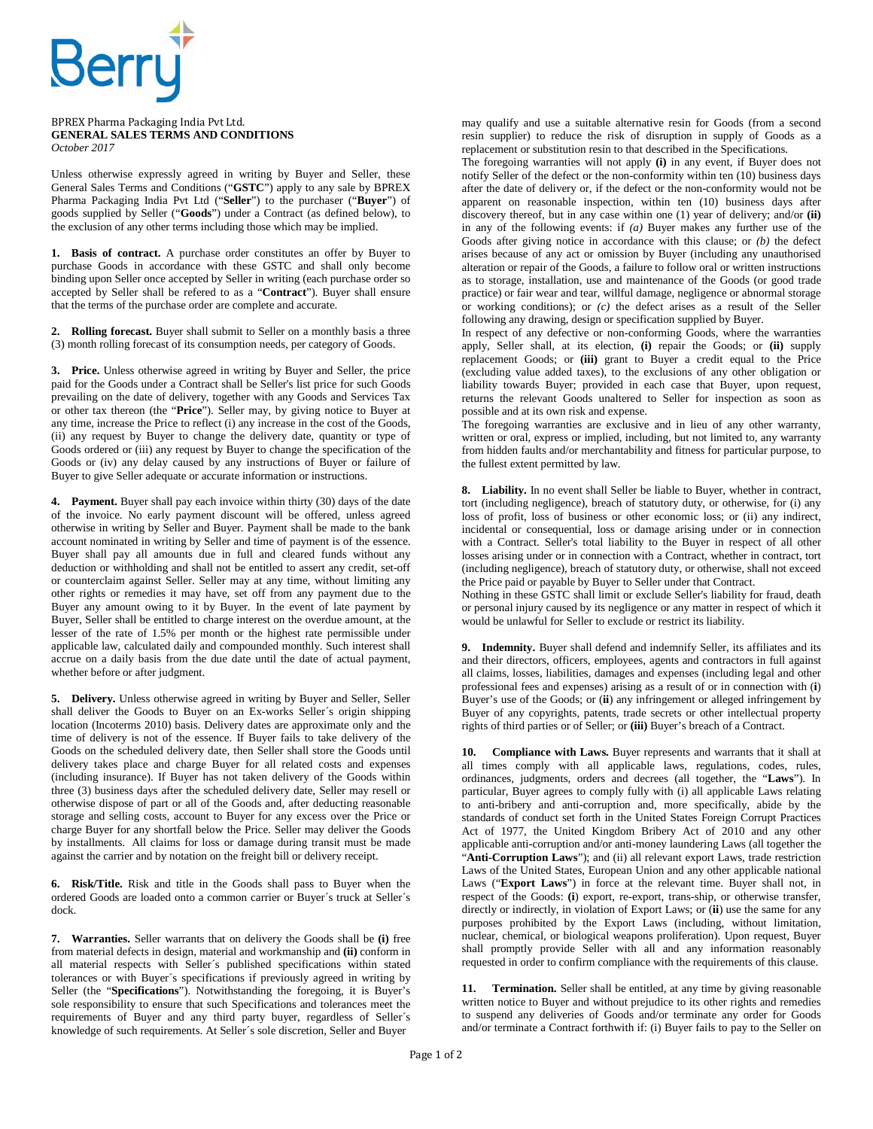

## BPREX Pharma Packaging India Pvt Ltd. **GENERAL SALES TERMS AND CONDITIONS**  *October 2017*

Unless otherwise expressly agreed in writing by Buyer and Seller, these General Sales Terms and Conditions ("**GSTC**") apply to any sale by BPREX Pharma Packaging India Pvt Ltd ("**Seller**") to the purchaser ("**Buyer**") of goods supplied by Seller ("**Goods**") under a Contract (as defined below), to the exclusion of any other terms including those which may be implied.

**1. Basis of contract.** A purchase order constitutes an offer by Buyer to purchase Goods in accordance with these GSTC and shall only become binding upon Seller once accepted by Seller in writing (each purchase order so accepted by Seller shall be refered to as a "**Contract**"). Buyer shall ensure that the terms of the purchase order are complete and accurate.

**2. Rolling forecast.** Buyer shall submit to Seller on a monthly basis a three (3) month rolling forecast of its consumption needs, per category of Goods.

**3. Price.** Unless otherwise agreed in writing by Buyer and Seller, the price paid for the Goods under a Contract shall be Seller's list price for such Goods prevailing on the date of delivery, together with any Goods and Services Tax or other tax thereon (the "**Price**"). Seller may, by giving notice to Buyer at any time, increase the Price to reflect (i) any increase in the cost of the Goods, (ii) any request by Buyer to change the delivery date, quantity or type of Goods ordered or (iii) any request by Buyer to change the specification of the Goods or (iv) any delay caused by any instructions of Buyer or failure of Buyer to give Seller adequate or accurate information or instructions.

**4. Payment.** Buyer shall pay each invoice within thirty (30) days of the date of the invoice. No early payment discount will be offered, unless agreed otherwise in writing by Seller and Buyer. Payment shall be made to the bank account nominated in writing by Seller and time of payment is of the essence. Buyer shall pay all amounts due in full and cleared funds without any deduction or withholding and shall not be entitled to assert any credit, set-off or counterclaim against Seller. Seller may at any time, without limiting any other rights or remedies it may have, set off from any payment due to the Buyer any amount owing to it by Buyer. In the event of late payment by Buyer, Seller shall be entitled to charge interest on the overdue amount, at the lesser of the rate of 1.5% per month or the highest rate permissible under applicable law, calculated daily and compounded monthly. Such interest shall accrue on a daily basis from the due date until the date of actual payment, whether before or after judgment.

**5. Delivery.** Unless otherwise agreed in writing by Buyer and Seller, Seller shall deliver the Goods to Buyer on an Ex-works Seller´s origin shipping location (Incoterms 2010) basis. Delivery dates are approximate only and the time of delivery is not of the essence. If Buyer fails to take delivery of the Goods on the scheduled delivery date, then Seller shall store the Goods until delivery takes place and charge Buyer for all related costs and expenses (including insurance). If Buyer has not taken delivery of the Goods within three (3) business days after the scheduled delivery date, Seller may resell or otherwise dispose of part or all of the Goods and, after deducting reasonable storage and selling costs, account to Buyer for any excess over the Price or charge Buyer for any shortfall below the Price. Seller may deliver the Goods by installments. All claims for loss or damage during transit must be made against the carrier and by notation on the freight bill or delivery receipt.

**6. Risk/Title.** Risk and title in the Goods shall pass to Buyer when the ordered Goods are loaded onto a common carrier or Buyer´s truck at Seller´s dock.

**7. Warranties.** Seller warrants that on delivery the Goods shall be **(i)** free from material defects in design, material and workmanship and **(ii)** conform in all material respects with Seller´s published specifications within stated tolerances or with Buyer´s specifications if previously agreed in writing by Seller (the "**Specifications**"). Notwithstanding the foregoing, it is Buyer's sole responsibility to ensure that such Specifications and tolerances meet the requirements of Buyer and any third party buyer, regardless of Seller´s knowledge of such requirements. At Seller´s sole discretion, Seller and Buyer

may qualify and use a suitable alternative resin for Goods (from a second resin supplier) to reduce the risk of disruption in supply of Goods as a replacement or substitution resin to that described in the Specifications.

The foregoing warranties will not apply **(i)** in any event, if Buyer does not notify Seller of the defect or the non-conformity within ten (10) business days after the date of delivery or, if the defect or the non-conformity would not be apparent on reasonable inspection, within ten (10) business days after discovery thereof, but in any case within one (1) year of delivery; and/or **(ii)** in any of the following events: if *(a)* Buyer makes any further use of the Goods after giving notice in accordance with this clause; or *(b)* the defect arises because of any act or omission by Buyer (including any unauthorised alteration or repair of the Goods, a failure to follow oral or written instructions as to storage, installation, use and maintenance of the Goods (or good trade practice) or fair wear and tear, willful damage, negligence or abnormal storage or working conditions); or *(c)* the defect arises as a result of the Seller following any drawing, design or specification supplied by Buyer.

In respect of any defective or non-conforming Goods, where the warranties apply, Seller shall, at its election, **(i)** repair the Goods; or **(ii)** supply replacement Goods; or **(iii)** grant to Buyer a credit equal to the Price (excluding value added taxes), to the exclusions of any other obligation or liability towards Buyer; provided in each case that Buyer, upon request, returns the relevant Goods unaltered to Seller for inspection as soon as possible and at its own risk and expense.

The foregoing warranties are exclusive and in lieu of any other warranty, written or oral, express or implied, including, but not limited to, any warranty from hidden faults and/or merchantability and fitness for particular purpose, to the fullest extent permitted by law.

**8. Liability.** In no event shall Seller be liable to Buyer, whether in contract, tort (including negligence), breach of statutory duty, or otherwise, for (i) any loss of profit, loss of business or other economic loss; or (ii) any indirect, incidental or consequential, loss or damage arising under or in connection with a Contract. Seller's total liability to the Buyer in respect of all other losses arising under or in connection with a Contract, whether in contract, tort (including negligence), breach of statutory duty, or otherwise, shall not exceed the Price paid or payable by Buyer to Seller under that Contract.

Nothing in these GSTC shall limit or exclude Seller's liability for fraud, death or personal injury caused by its negligence or any matter in respect of which it would be unlawful for Seller to exclude or restrict its liability.

**9. Indemnity.** Buyer shall defend and indemnify Seller, its affiliates and its and their directors, officers, employees, agents and contractors in full against all claims, losses, liabilities, damages and expenses (including legal and other professional fees and expenses) arising as a result of or in connection with (**i**) Buyer's use of the Goods; or (**ii**) any infringement or alleged infringement by Buyer of any copyrights, patents, trade secrets or other intellectual property rights of third parties or of Seller; or **(iii)** Buyer's breach of a Contract.

**10. Compliance with Laws.** Buyer represents and warrants that it shall at all times comply with all applicable laws, regulations, codes, rules, ordinances, judgments, orders and decrees (all together, the "**Laws**"). In particular, Buyer agrees to comply fully with (i) all applicable Laws relating to anti-bribery and anti-corruption and, more specifically, abide by the standards of conduct set forth in the United States Foreign Corrupt Practices Act of 1977, the United Kingdom Bribery Act of 2010 and any other applicable anti-corruption and/or anti-money laundering Laws (all together the "Anti-Corruption Laws"); and (ii) all relevant export Laws, trade restriction Laws of the United States, European Union and any other applicable national Laws ("**Export Laws**") in force at the relevant time. Buyer shall not, in respect of the Goods: **(i**) export, re-export, trans-ship, or otherwise transfer, directly or indirectly, in violation of Export Laws; or (**ii**) use the same for any purposes prohibited by the Export Laws (including, without limitation, nuclear, chemical, or biological weapons proliferation). Upon request, Buyer shall promptly provide Seller with all and any information reasonably requested in order to confirm compliance with the requirements of this clause.

**11. Termination.** Seller shall be entitled, at any time by giving reasonable written notice to Buyer and without prejudice to its other rights and remedies to suspend any deliveries of Goods and/or terminate any order for Goods and/or terminate a Contract forthwith if: (i) Buyer fails to pay to the Seller on